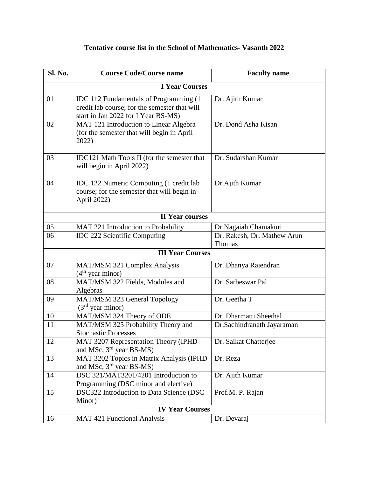| Sl. No.                 | <b>Course Code/Course name</b>                                                                                                         | <b>Faculty name</b>                   |  |
|-------------------------|----------------------------------------------------------------------------------------------------------------------------------------|---------------------------------------|--|
| <b>I Year Courses</b>   |                                                                                                                                        |                                       |  |
| 01                      | <b>IDC</b> 112 Fundamentals of Programming (1)<br>credit lab course; for the semester that will<br>start in Jan 2022 for I Year BS-MS) | Dr. Ajith Kumar                       |  |
| 02                      | MAT 121 Introduction to Linear Algebra<br>(for the semester that will begin in April<br>2022)                                          | Dr. Dond Asha Kisan                   |  |
| 03                      | IDC121 Math Tools II (for the semester that<br>will begin in April 2022)                                                               | Dr. Sudarshan Kumar                   |  |
| 04                      | IDC 122 Numeric Computing (1 credit lab<br>course; for the semester that will begin in<br>April 2022)                                  | Dr.Ajith Kumar                        |  |
| <b>II Year courses</b>  |                                                                                                                                        |                                       |  |
| 05                      | MAT 221 Introduction to Probability                                                                                                    | Dr.Nagaiah Chamakuri                  |  |
| 06                      | <b>IDC 222 Scientific Computing</b>                                                                                                    | Dr. Rakesh, Dr. Mathew Arun<br>Thomas |  |
| <b>III Year Courses</b> |                                                                                                                                        |                                       |  |
| 07                      | MAT/MSM 321 Complex Analysis<br>$(4th$ year minor)                                                                                     | Dr. Dhanya Rajendran                  |  |
| 08                      | MAT/MSM 322 Fields, Modules and<br>Algebras                                                                                            | Dr. Sarbeswar Pal                     |  |
| 09                      | MAT/MSM 323 General Topology<br>$(3rd$ year minor)                                                                                     | Dr. Geetha T                          |  |
| 10                      | MAT/MSM 324 Theory of ODE                                                                                                              | Dr. Dharmatti Sheethal                |  |
| 11                      | MAT/MSM 325 Probability Theory and<br><b>Stochastic Processes</b>                                                                      | Dr.Sachindranath Jayaraman            |  |
| 12                      | MAT 3207 Representation Theory (IPHD<br>and MSc, 3 <sup>rd</sup> year BS-MS)                                                           | Dr. Saikat Chatterjee                 |  |
| 13                      | MAT 3202 Topics in Matrix Analysis (IPHD<br>and MSc, 3 <sup>rd</sup> year BS-MS)                                                       | Dr. Reza                              |  |
| 14                      | DSC 321/MAT3201/4201 Introduction to<br>Programming (DSC minor and elective)                                                           | Dr. Ajith Kumar                       |  |
| 15                      | DSC322 Introduction to Data Science (DSC<br>Minor)                                                                                     | Prof.M. P. Rajan                      |  |
| <b>IV Year Courses</b>  |                                                                                                                                        |                                       |  |
| 16                      | <b>MAT 421 Functional Analysis</b>                                                                                                     | Dr. Devaraj                           |  |

## **Tentative course list in the School of Mathematics- Vasanth 2022**